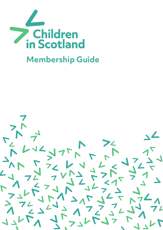

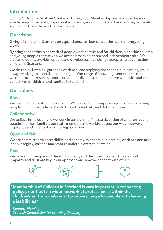# **Introduction**

Joining Children in Scotland's network through our Membership Service provides you with a wide range of benefits, opportunities to engage in our work and have your say, while also supporting the wider work of the charity.

# **Our vision**

Giving all children in Scotland an equal chance to flourish is at the heart of everything we do.

By bringing together a network of people working with and for children, alongside children and young people themselves, we offer a broad, balanced and independent voice. We create solutions, provide support and develop positive change across all areas affecting children in Scotland.

We do this by listening, gathering evidence, and applying and sharing our learning, while always working to uphold children's rights. Our range of knowledge and expertise means we can provide trusted support on issues as diverse as the people we work with and the varied lives of children and families in Scotland.

# **Our values**

### **Brave**

We are champions of children's rights. We take a lead in empowering children and young people and improving lives. We do this with creativity and determination.

# **Collaborative**

We believe in inclusion and we work in partnership. The participation of children, young people and their families, our staff, members, the workforce and our wider network inspires us and is central to achieving our vision.

# **Open and fair**

We are committed to accessibility and honesty. We share our learning, evidence and new ideas. Integrity, balance and respect underpin everything we do.

## **Kind**

We care about people and the environment, and the impact our work has on both Empathy and trust are key in our approach and how we connect with others.



**Membership of Children in Scotland is very important in connecting "policy priorities to a wider network of professionals within the children's sector to help enact positive change for people with learning disabilities"**

*Kenneth Fleming, Scottish Commission for Learning Disability*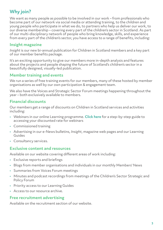# **Why join?**

We want as many people as possible to be involved in our work – from professionals who become part of our network via social media or attending training, to the children and young people who participate in what we do, to partners who help us deliver our work, to our diverse membership – covering every part of the children's sector in Scotland. As part of our multi-disciplinary network of people who bring knowledge, skills, and experience from every part of the children's sector, you have access to a range of benefits, including:

### **Insight magazine**

*Insight* is our new bi-annual publication for Children in Scotland members and a key part of our member benefits package.

It's an exciting opportunity to give our members more in-depth analysis and features about the projects and people shaping the future of Scotland's children's sector in a beautifully designed, visually-led publication.

### **Member training and events**

We run a series of free training events for our members, many of these hosted by member organisations as well by our own participation & engagement team.

We also have the Voices and Strategic Sector Forum meetings happening throughout the year – both exclusively available to members.

### **Financial discounts**

Our members get a range of discounts on Children in Scotland services and activities including:

- Webinars in our online Learning programme. **[Click here](https://childreninscotland.org.uk/wp-content/uploads/2022/01/Instructions-for-claiming-member-discount.pdf)** for a step-by-step guide to accessing your discounted rate for webinars
- Commissioned training
- Advertising in our e-News bulletins, *Insight*, magazine web pages and our Learning Guides
- Consultancy services.

#### **Exclusive content and resources**

Available on our website covering different areas of work including:

- Exclusive reports and briefings
- Blogs from member organisations and individuals in our monthly Members' News
- Summaries from Voices Forum meetings
- Minutes and podcast recordings from meetings of the Children's Sector Strategic and Policy Forum
- Priority access to our Learning Guides
- Access to our resource archive.

#### **Free recruitment advertising**

Available on the recruitment section of our website.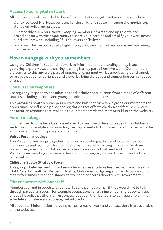### **Access to our digital network**

All members are also entitled to benefits as part of our digital network. These include:

- Our twice-weekly e-News bulletins for the children's sector filtering the media's top stories on policy and projects.
- Our monthly Members' News keeping members informed and up to date and providing you with the opportunity to share your learning and amplify your work across our digital network including 25k+ followers on Twitter.
- Members' Hub on our website highlighting exclusive member resources and upcoming member events.

# **How we engage with you as members**

Using the Children in Scotland network to inform our understanding of key issues, gathering expert views and sharing learning is a key part of how we work. Our members are central to this and a big part of ongoing engagement will be about using our channels to broadcast your experiences and views, building dialogue and signposting our collective strength.

#### **Consultation responses**

We regularly respond to consultations and include contributions from a range of different sources including children and young people and our members.

This provides us with a broad perspective and balanced view while giving our members the opportunity to influence policy and legislation that affects children and families. All our consultation responses are available to our members via the Members' Hub on the website.

### **Forum meetings**

Our member forums have been developed to meet the different needs of the children's sector workforce while also providing the opportunity to bring members together with the ambition of influencing policy and practice.

#### **Voices Forum meetings**

The Voices Forum brings together the diverse knowledge, skills and experience of our members to seek solutions for the most pressing issues affecting children in Scotland today. Every member of Children in Scotland is welcome to attend and contribute to Voices Forum meetings – we aim to have four meetings a year and these currently take place online.

#### **Children's Sector Strategic Forum**

This group of elected and invited senior level representatives has five main workstreams: Child Poverty, Health & Wellbeing, Rights, Outcomes Budgeting and Family Support.  It meets four times a year and shares its work and concerns directly with government.

### **Direct contact with our staff**

Members can get in touch with our staff at any point via email if they would like to talk through particular issues – for example suggestions for training or learning opportunities or specific policy positions or responses. Ideas can then be fed into our regular planning schedule and, where appropriate, put into action.

All of our staff information including names, areas of work and contact details are available on the website.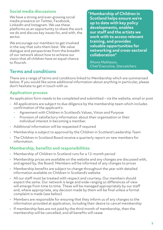## **Social media discussions**

We have a strong and ever-growing social media presence on Twitter, Facebook, LinkedIn and Instagram. We use these platforms as an opportunity to share the work we do and discuss key issues for, and with, the sector.

We encourage our members to get involved in the way that suits them best. We value dialogue and perspectives from the breadth of our network about how to achieve our vision that all children have an equal chance to flourish.

**"Membership of Children in Scotland helps ensure we're up to date with key policy developments, enables our staff and the artists we work with to access relevant training, and provides valuable opportunities for networking and cross-sectoral collaboration"**

*Rhona Matheson, Chief Executive, Starcatchers*

# **Terms and conditions**

There are a range of terms and conditions linked to Membership which are summarised below. If you would like some additional information about anything in particular, please don't hesitate to get in touch with us.

## **Application process**

An application form needs to be completed and submitted – via the website, email or post

- All applications are subject to due diligence by the membership team which includes confirmation of the applicant's:
	- **-** Agreement with Children in Scotland's Values, Vision and Purpose
	- **-** Provision of satisfactory information about their organisation or their individual interest in becoming a member.
- Additional information will be requested if required
- Membership is subject to approval by the Children in Scotland Leadership Team
- The Children in Scotland Board receive a quarterly report on new members for information.

### **Membership, benefits and responsibilities**

- Membership of Children in Scotland runs for a 12-month period
- Membership prices are available on the website and any changes are discussed with, and agreed by, the Board. Members will be informed of any changes to prices
- Membership benefits are subject to change throughout the year with detailed information available on Children in Scotland's website
- All our staff must be treated with respect and courtesy. Our members should expect the same. Our network is large and wide-ranging so differences of view will emerge from time to time. These will be managed appropriately by our staff and, where appropriate, any decision made by them will be final unless a formal complaint is made (see below)
- Members are responsible for ensuring that they inform us of any changes to the information provided at application, including their desire to cancel membership
- If membership fees are not paid by the third month of membership, then the membership will be cancelled, and all benefits will cease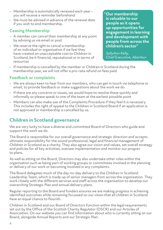- Membership is automatically renewed each year you will receive a reminder beforehand
- We must be advised in advance of the renewal date if you wish to end membership.

# **Ceasing Membership**

- A member can cancel their membership at any point by advising us via email or post
- We reserve the right to cancel a membership of an individual or organisation if we feel they have created an unacceptable cost to Children in Scotland, be it financial, reputational or in terms of resources

**Our membership "is valuable to our people as it opens up opportunities for engagement in learning and development with people from across the children's sector"**

*SallyAnn Kelly, Chief Executive, Aberlour*

• If membership is cancelled by the member or Children in Scotland during the membership year, we will not offer a pro-rata refund on fees paid.

### **Feedback or complaints**

- We are always keen to hear from our members, who can get in touch via telephone or email, to provide feedback or make suggestions about the work we do
- If there are any concerns or issues, we would hope to resolve these quickly and informally so please speak to one of the team at the earliest possible point
- Members can also make use of the Complaints Procedure if they feel it is necessary. This includes the right of appeal to the Children in Scotland Board if an application is not approved or membership is cancelled by us.

# **Children in Scotland governance**

We are very lucky to have a diverse and committed Board of Directors who guide and support the work we do.

The Board is responsible for our overall governance and strategic direction and accepts ultimate responsibility for the sound professional, legal and financial management of Children in Scotland as a charity. They also agree our vision and values, set overall strategy and policies for all key activities, oversee implementation and monitor our progres to plans.

As well as sitting on the Board, Directors may also undertake other roles within the organisation such as being part of working groups or committees involved in the planning or delivery of our work or becoming involved in any complaints.

The Board delegates much of the day-to-day delivery to the Children in Scotland Leadership Team, which is made up of senior managers from across the organisation. They work closely with the different services and staff across the organisation to develop our overarching Strategic Plan and annual delivery plans.

Regular reporting to the Board and funders ensures we are making progress in achieving identified outcomes while remaining focussed on our vision that all children in Scotland have an equal chance to flourish.

Children in Scotland and our Board of Directors function within the legal requirements set out by the Office of the Scottish Charity Regulator (OSCR) and our Articles of Association. On our website you can find information about who is currently sitting on our Board, alongside Annual Reports and our Strategic Plan.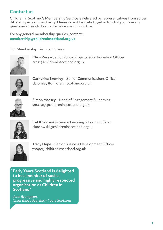# **Contact us**

Children in Scotland's Membership Service is delivered by representatives from across different parts of the charity. Please do not hesitate to get in touch if you have any questions or would like to discuss something with us.

For any general membership queries, contact: **membership@childreninscotland.org.uk**

Our Membership Team comprises:



**Chris Ross** – Senior Policy, Projects & Participation Officer cross@childreninscotland.org.uk



**Catherine Bromley** – Senior Communications Officer cbromley@childreninscotland.org.uk



**Simon Massey** – Head of Engagement & Learning smassey@childreninscotland.org.uk



**Cat Kozlowski** – Senior Learning & Events Officer ckozlowski@childreninscotland.org.uk



**Tracy Hope** – Senior Business Development Officer thope@childreninscotland.org.uk

**Early Years Scotland is delighted "to be a member of such a progressive and highly respected organisation as Children in Scotland"**

*Jane Brumpton, Chief Executive, Early Years Scotland*